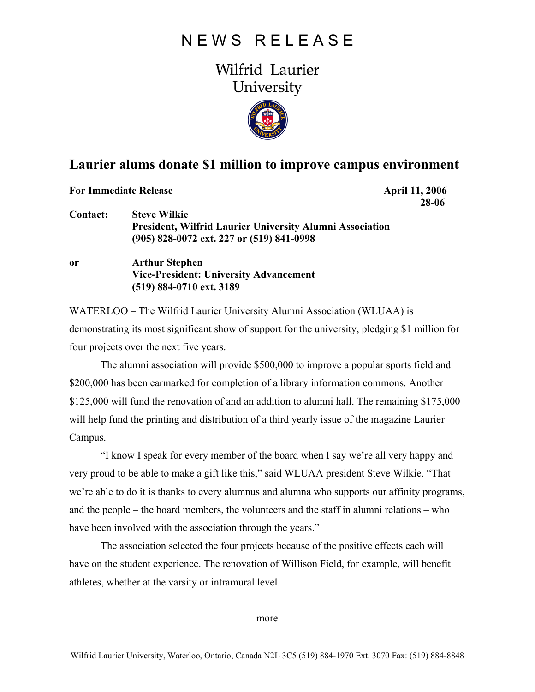# N E W S R E L E A S E

Wilfrid Laurier University



# **Laurier alums donate \$1 million to improve campus environment**

### **For Immediate Release April 11, 2006**

 **28-06** 

**Contact: Steve Wilkie President, Wilfrid Laurier University Alumni Association (905) 828-0072 ext. 227 or (519) 841-0998** 

## **or Arthur Stephen Vice-President: University Advancement (519) 884-0710 ext. 3189**

WATERLOO – The Wilfrid Laurier University Alumni Association (WLUAA) is demonstrating its most significant show of support for the university, pledging \$1 million for four projects over the next five years.

 The alumni association will provide \$500,000 to improve a popular sports field and \$200,000 has been earmarked for completion of a library information commons. Another \$125,000 will fund the renovation of and an addition to alumni hall. The remaining \$175,000 will help fund the printing and distribution of a third yearly issue of the magazine Laurier Campus.

 "I know I speak for every member of the board when I say we're all very happy and very proud to be able to make a gift like this," said WLUAA president Steve Wilkie. "That we're able to do it is thanks to every alumnus and alumna who supports our affinity programs, and the people – the board members, the volunteers and the staff in alumni relations – who have been involved with the association through the years."

The association selected the four projects because of the positive effects each will have on the student experience. The renovation of Willison Field, for example, will benefit athletes, whether at the varsity or intramural level.

#### – more –